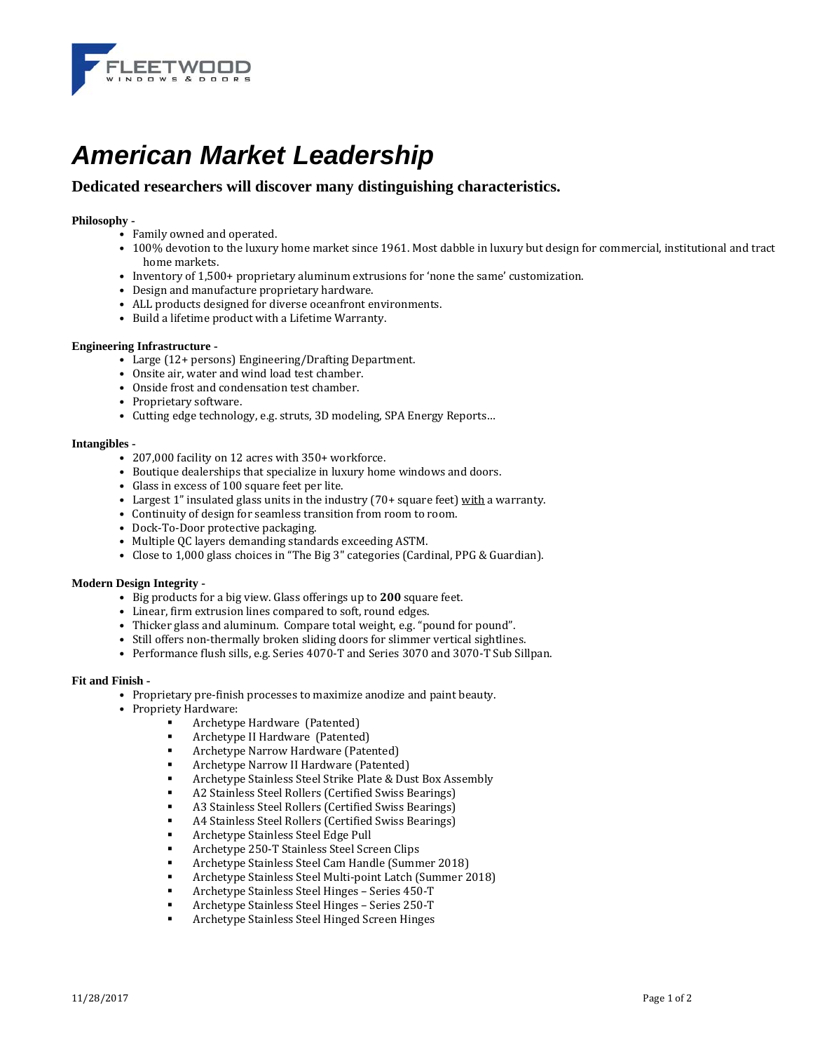

# *American Market Leadership*

# **Dedicated researchers will discover many distinguishing characteristics.**

## Philosophy -

- Family owned and operated.
- 100% devotion to the luxury home market since 1961. Most dabble in luxury but design for commercial, institutional and tract home markets.
- Inventory of 1,500+ proprietary aluminum extrusions for 'none the same' customization.
- Design and manufacture proprietary hardware.
- ALL products designed for diverse oceanfront environments.
- Build a lifetime product with a Lifetime Warranty.

#### **Engineering Infrastructure -**

- Large (12+ persons) Engineering/Drafting Department.
- Onsite air, water and wind load test chamber.
- Onside frost and condensation test chamber.
- Proprietary software.
- Cutting edge technology, e.g. struts, 3D modeling, SPA Energy Reports...

#### Intangibles -

- 207,000 facility on 12 acres with 350+ workforce.
- Boutique dealerships that specialize in luxury home windows and doors.
- Glass in excess of 100 square feet per lite.
- Largest 1" insulated glass units in the industry (70+ square feet) with a warranty.
- Continuity of design for seamless transition from room to room.
- Dock-To-Door protective packaging.
- Multiple QC layers demanding standards exceeding ASTM.
- Close to 1,000 glass choices in "The Big 3" categories (Cardinal, PPG & Guardian).

#### **Modern Design Integrity -**

- Big products for a big view. Glass offerings up to **200** square feet.
- Linear, firm extrusion lines compared to soft, round edges.
- Thicker glass and aluminum. Compare total weight, e.g. "pound for pound".
- Still offers non-thermally broken sliding doors for slimmer vertical sightlines.
- Performance flush sills, e.g. Series 4070-T and Series 3070 and 3070-T Sub Sillpan.

#### **Fit and Finish -**

- Proprietary pre-finish processes to maximize anodize and paint beauty.
	- Propriety Hardware:
		- . Archetype Hardware (Patented)
		- . Archetype II Hardware (Patented)
		- . Archetype Narrow Hardware (Patented)
		- . Archetype Narrow II Hardware (Patented)
		- **EXECUTE:** Archetype Stainless Steel Strike Plate & Dust Box Assembly
		- . A2 Stainless Steel Rollers (Certified Swiss Bearings)
		- . A3 Stainless Steel Rollers (Certified Swiss Bearings)
		- **A4 Stainless Steel Rollers (Certified Swiss Bearings)**
		- . Archetype Stainless Steel Edge Pull
		- . Archetype 250-T Stainless Steel Screen Clips
		- . Archetype Stainless Steel Cam Handle (Summer 2018)
		- Archetype Stainless Steel Multi-point Latch (Summer 2018)
		- . Archetype Stainless Steel Hinges - Series 450-T
		- . Archetype Stainless Steel Hinges - Series 250-T
		- Archetype Stainless Steel Hinged Screen Hinges